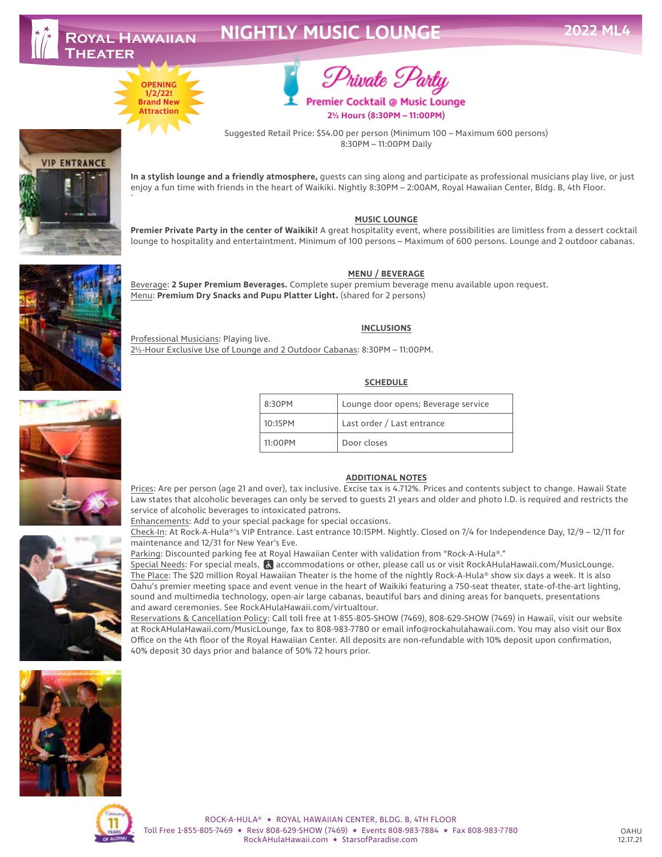**VIP ENTRANCE** 

# **NIGHTLY MUSIC LOUNGE**



`



Premier Cocktail @ Music Lounge **2½ Hours (8:30PM – 11:00PM)**

Suggested Retail Price: \$54.00 per person (Minimum 100 – Maximum 600 persons) 8:30PM – 11:00PM Daily

**In a stylish lounge and a friendly atmosphere,** guests can sing along and participate as professional musicians play live, or just enjoy a fun time with friends in the heart of Waikiki. Nightly 8:30PM – 2:00AM, Royal Hawaiian Center, Bldg. B, 4th Floor.

## **MUSIC LOUNGE**

**Premier Private Party in the center of Waikiki!** A great hospitality event, where possibilities are limitless from a dessert cocktail lounge to hospitality and entertaintment. Minimum of 100 persons – Maximum of 600 persons. Lounge and 2 outdoor cabanas.

### **MENU / BEVERAGE**

Beverage: **2 Super Premium Beverages.** Complete super premium beverage menu available upon request. Menu: **Premium Dry Snacks and Pupu Platter Light.** (shared for 2 persons)

#### **INCLUSIONS**

Professional Musicians: Playing live. 2½-Hour Exclusive Use of Lounge and 2 Outdoor Cabanas: 8:30PM – 11:00PM.

## **SCHEDULE**

| 8:30PM  | Lounge door opens; Beverage service |
|---------|-------------------------------------|
| 10:15PM | Last order / Last entrance          |
| 11:00PM | Door closes                         |

#### **ADDITIONAL NOTES**

Prices: Are per person (age 21 and over), tax inclusive. Excise tax is 4.712%. Prices and contents subject to change. Hawaii State Law states that alcoholic beverages can only be served to guests 21 years and older and photo I.D. is required and restricts the service of alcoholic beverages to intoxicated patrons.

Enhancements: Add to your special package for special occasions.

Check-In: At Rock-A-Hula®'s VIP Entrance. Last entrance 10:15PM. Nightly. Closed on 7/4 for Independence Day, 12/9 – 12/11 for maintenance and 12/31 for New Year's Eve.

Parking: Discounted parking fee at Royal Hawaiian Center with validation from "Rock-A-Hula®."

Special Needs: For special meals, accommodations or other, please call us or visit RockAHulaHawaii.com/MusicLounge. The Place: The \$20 million Royal Hawaiian Theater is the home of the nightly Rock-A-Hula® show six days a week. It is also Oahu's premier meeting space and event venue in the heart of Waikiki featuring a 750-seat theater, state-of-the-art lighting, sound and multimedia technology, open-air large cabanas, beautiful bars and dining areas for banquets, presentations and award ceremonies. See RockAHulaHawaii.com/virtualtour.

Reservations & Cancellation Policy: Call toll free at 1-855-805-SHOW (7469), 808-629-SHOW (7469) in Hawaii, visit our website at RockAHulaHawaii.com/MusicLounge, fax to 808-983-7780 or email info@rockahulahawaii.com. You may also visit our Box Office on the 4th floor of the Royal Hawaiian Center. All deposits are non-refundable with 10% deposit upon confirmation, 40% deposit 30 days prior and balance of 50% 72 hours prior.